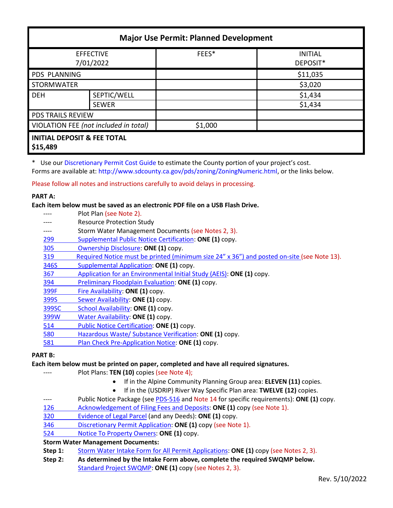| <b>Major Use Permit: Planned Development</b>       |              |         |                            |  |
|----------------------------------------------------|--------------|---------|----------------------------|--|
| <b>EFFECTIVE</b><br>7/01/2022                      |              | FEES*   | <b>INITIAL</b><br>DEPOSIT* |  |
| <b>PDS PLANNING</b>                                |              |         | \$11,035                   |  |
| <b>STORMWATER</b>                                  |              |         | \$3,020                    |  |
| <b>DEH</b>                                         | SEPTIC/WELL  |         | \$1,434                    |  |
|                                                    | <b>SEWER</b> |         | \$1,434                    |  |
| <b>PDS TRAILS REVIEW</b>                           |              |         |                            |  |
| VIOLATION FEE (not included in total)              |              | \$1,000 |                            |  |
| <b>INITIAL DEPOSIT &amp; FEE TOTAL</b><br>\$15,489 |              |         |                            |  |

\* Use our [Discretionary Permit Cost Guide](http://www.sandiegocounty.gov/content/dam/sdc/pds/docs/Discretionary_Permit_Cost_Guide.xlsx) to estimate the County portion of your project's cost.

Forms are available at: [http://www.sdcounty.ca.gov/pds/zoning/ZoningNumeric.html,](http://www.sdcounty.ca.gov/pds/zoning/ZoningNumeric.html) or the links below.

Please follow all notes and instructions carefully to avoid delays in processing.

## **PART A:**

**Each item below must be saved as an electronic PDF file on a USB Flash Drive.**

- Plot Plan (see Note 2).
- ---- Resource Protection Study ---- Storm Water Management Documents (see Notes 2, 3). 299 [Supplemental Public Notice Certification:](http://www.sdcounty.ca.gov/pds/zoning/formfields/PDS-PLN-299.pdf) **ONE (1)** copy. [305 Ownership Disclosure:](http://www.sdcounty.ca.gov/pds/zoning/formfields/PDS-PLN-305.pdf) **ONE (1)** copy. [319 Required Notice must be printed \(minimum size 24" x 36"\) and posted on-site](https://www.sandiegocounty.gov/content/dam/sdc/pds/zoning/formfields/PDS-PLN-319.pdf) (see Note 13). [346S Supplemental Application:](http://www.sdcounty.ca.gov/pds/zoning/formfields/PDS-PLN-346S.pdf) **ONE (1)** copy. 367 [Application for an Environmental Initial Study \(AEIS\):](http://www.sdcounty.ca.gov/pds/zoning/formfields/PDS-PLN-367.pdf) **ONE (1)** copy. 394 [Preliminary Floodplain Evaluation:](http://www.sdcounty.ca.gov/pds/zoning/formfields/PDS-PLN-394.pdf) **ONE (1)** copy. [399F Fire Availability:](http://www.sdcounty.ca.gov/pds/zoning/formfields/PDS-PLN-399F.pdf) **ONE (1)** copy. 399S [Sewer Availability:](http://www.sdcounty.ca.gov/pds/zoning/formfields/PDS-PLN-399S.pdf) **ONE (1)** copy. [399SC School Availability:](http://www.sdcounty.ca.gov/pds/zoning/formfields/PDS-PLN-399SC.pdf) **ONE (1)** copy. [399W Water Availability:](http://www.sdcounty.ca.gov/pds/zoning/formfields/PDS-PLN-399W.pdf) **ONE (1)** copy. 514 [Public Notice Certification:](http://www.sdcounty.ca.gov/pds/zoning/formfields/PDS-PLN-514.pdf) **ONE (1)** copy.
- **PART B:**

#### **Each item below must be printed on paper, completed and have all required signatures.**

- Plot Plans: **TEN (10)** copies (see Note 4);
	- If in the Alpine Community Planning Group area: **ELEVEN (11)** copies.
	- If in the (USDRIP) River Way Specific Plan area: **TWELVE (12)** copies.
- ---- Public Notice Package (se[e PDS-516 a](http://www.sdcounty.ca.gov/pds/zoning/formfields/PDS-PLN-516.pdf)nd Note 14 for specific requirements): **ONE (1)** copy.
- [126 Acknowledgement of Filing Fees and Deposits:](http://www.sdcounty.ca.gov/pds/zoning/formfields/PDS-PLN-126.pdf) **ONE (1)** copy (see Note 1).
- [320 Evidence of Legal Parcel](http://www.sdcounty.ca.gov/pds/zoning/formfields/PDS-PLN-320.pdf) (and any Deeds): **ONE (1)** copy.

[580 Hazardous Waste/](http://www.sdcounty.ca.gov/pds/zoning/formfields/PDS-PLN-580.pdf) Substance Verification: **ONE (1)** copy.

581 [Plan Check Pre-Application Notice:](http://www.sdcounty.ca.gov/pds/zoning/formfields/PDS-PLN-581.pdf) **ONE (1)** copy.

- 346 [Discretionary Permit Application:](http://www.sdcounty.ca.gov/pds/zoning/formfields/PDS-PLN-346.pdf) **ONE (1)** copy (see Note 1).
- 524 [Notice To Property Owners:](http://www.sdcounty.ca.gov/pds/zoning/formfields/PDS-PLN-524.pdf) **ONE (1)** copy.

# **Storm Water Management Documents:**

**Step 1:** [Storm Water Intake Form for All Permit Applications:](http://www.sandiegocounty.gov/content/dam/sdc/pds/zoning/formfields/SWQMP-Intake-Form.pdf) **ONE (1)** copy (see Notes 2, 3).

**Step 2: As determined by the Intake Form above, complete the required SWQMP below.** [Standard Project SWQMP:](http://www.sandiegocounty.gov/content/dam/sdc/pds/zoning/formfields/SWQMP-Standard.pdf) **ONE (1)** copy (see Notes 2, 3).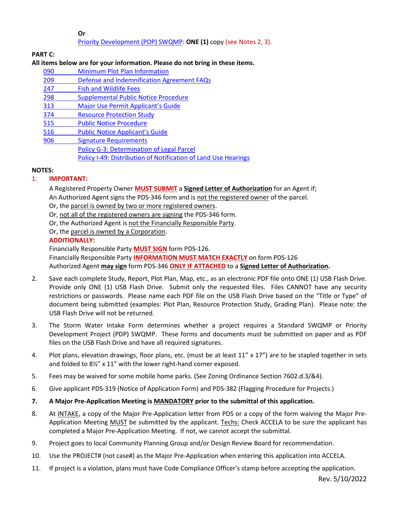**Or**

# [Priority Development \(PDP\) SWQMP:](https://www.sandiegocounty.gov/content/sdc/dpw/watersheds/DevelopmentandConstruction/BMP_Design_Manual.html) **ONE (1)** copy (see Notes 2, 3).

# **PART C:**

# **All items below are for your information. Please do not bring in these items.**

090 [Minimum Plot Plan Information](http://www.sdcounty.ca.gov/pds/docs/pds090.pdf) 209 [Defense and Indemnification Agreement FAQs](http://www.sdcounty.ca.gov/pds/zoning/formfields/PDS-PLN-209.pdf) [247 Fish and Wildlife Fees](http://www.sdcounty.ca.gov/pds/zoning/formfields/PDS-PLN-247.pdf)  [298 Supplemental Public Notice Procedure](http://www.sdcounty.ca.gov/pds/zoning/formfields/PDS-PLN-298.pdf)  313 Major [Use Permit Applicant's Guide](http://www.sdcounty.ca.gov/pds/zoning/formfields/PDS-PLN-313.pdf) [374 Resource Protection Study](http://www.sdcounty.ca.gov/pds/zoning/formfields/PDS-PLN-374.pdf)  [515 Public Notice Procedure](http://www.sdcounty.ca.gov/pds/zoning/formfields/PDS-PLN-515.pdf)  [516 Public Notice Applicant's Guide](http://www.sdcounty.ca.gov/pds/zoning/formfields/PDS-PLN-516.pdf)  [906 Signature Requirements](http://www.sdcounty.ca.gov/pds/zoning/formfields/PDS-PLN-906.pdf)  [Policy G-3: Determination of Legal Parcel](http://www.sdcounty.ca.gov/pds/zoning/formfields/POLICY-G-3.pdf) [Policy I-49: Distribution of Notification of Land Use Hearings](http://www.sdcounty.ca.gov/cob/docs/policy/I-49.pdf)

#### **NOTES:**

## 1. **IMPORTANT:**

A Registered Property Owner **MUST SUBMIT** a **Signed Letter of Authorization** for an Agent if; An Authorized Agent signs the PDS-346 form and is not the registered owner of the parcel.

Or, the parcel is owned by two or more registered owners.

Or, not all of the registered owners are signing the PDS-346 form.

Or, the Authorized Agent is not the Financially Responsible Party.

Or, the parcel is owned by a Corporation.

# **ADDITIONALLY:**

Financially Responsible Party **MUST SIGN** form PDS-126. Financially Responsible Party **INFORMATION MUST MATCH EXACTLY** on form PDS-126 Authorized Agent **may sign** form PDS-346 **ONLY IF ATTACHED** to a **Signed Letter of Authorization.** 

- 2. Save each complete Study, Report, Plot Plan, Map, etc., as an electronic PDF file onto ONE (1) USB Flash Drive. Provide only ONE (1) USB Flash Drive. Submit only the requested files. Files CANNOT have any security restrictions or passwords. Please name each PDF file on the USB Flash Drive based on the "Title or Type" of document being submitted (examples: Plot Plan, Resource Protection Study, Grading Plan). Please note: the USB Flash Drive will not be returned.
- 3. The Storm Water Intake Form determines whether a project requires a Standard SWQMP or Priority Development Project (PDP) SWQMP. These forms and documents must be submitted on paper and as PDF files on the USB Flash Drive and have all required signatures.
- 4. Plot plans, elevation drawings, floor plans, etc. (must be at least 11" x 17") are to be stapled together in sets and folded to 8½" x 11" with the lower right-hand corner exposed.
- 5. Fees may be waived for some mobile home parks. (See Zoning Ordinance Section 7602.d.3/&4).
- 6. Give applicant PDS-319 (Notice of Application Form) and PDS-382 (Flagging Procedure for Projects.)
- **7. A Major Pre-Application Meeting is MANDATORY prior to the submittal of this application.**
- 8. At INTAKE, a copy of the Major Pre-Application letter from PDS or a copy of the form waiving the Major Pre-Application Meeting MUST be submitted by the applicant. Techs: Check ACCELA to be sure the applicant has completed a Major Pre-Application Meeting. If not, we cannot accept the submittal.
- 9. Project goes to local Community Planning Group and/or Design Review Board for recommendation.
- 10. Use the PROJECT# (not case#) as the Major Pre-Application when entering this application into ACCELA.
- 11. If project is a violation, plans must have Code Compliance Officer's stamp before accepting the application.